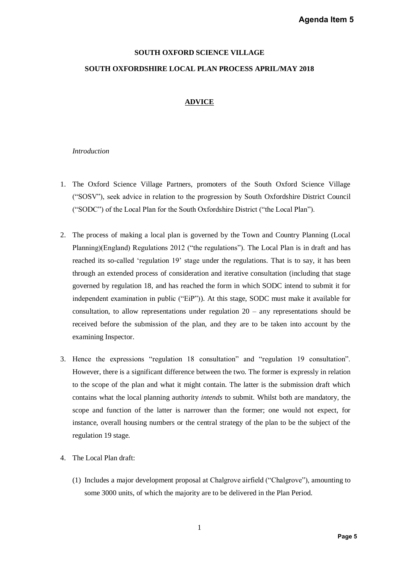## Agenda Item 5

# **SOUTH OXFORD SCIENCE VILLAGE SOUTH OXFORDSHIRE LOCAL PLAN PROCESS APRIL/MAY 2018**

## **ADVICE**

#### *Introduction*

- 1. The Oxford Science Village Partners, promoters of the South Oxford Science Village ("SOSV"), seek advice in relation to the progression by South Oxfordshire District Council ("SODC") of the Local Plan for the South Oxfordshire District ("the Local Plan").
- 2. The process of making a local plan is governed by the Town and Country Planning (Local Planning)(England) Regulations 2012 ("the regulations"). The Local Plan is in draft and has reached its so-called 'regulation 19' stage under the regulations. That is to say, it has been through an extended process of consideration and iterative consultation (including that stage governed by regulation 18, and has reached the form in which SODC intend to submit it for independent examination in public ("EiP")). At this stage, SODC must make it available for consultation, to allow representations under regulation 20 – any representations should be received before the submission of the plan, and they are to be taken into account by the examining Inspector. **Agenda Item 5**<br> **2018**<br> **Page 5 District Council**<br> **Page 5 District Council**<br> **Panning (Local**<br> **s** in draft and has<br> **page 5 page 5 page 5 page 5**<br> **page 5**<br> **page 5**<br> **page 5**<br> **page 5**<br> **page 5**<br> **page 5**<br> **p**
- 3. Hence the expressions "regulation 18 consultation" and "regulation 19 consultation". However, there is a significant difference between the two. The former is expressly in relation to the scope of the plan and what it might contain. The latter is the submission draft which contains what the local planning authority *intends* to submit. Whilst both are mandatory, the scope and function of the latter is narrower than the former; one would not expect, for instance, overall housing numbers or the central strategy of the plan to be the subject of the regulation 19 stage.
- 4. The Local Plan draft:
	- (1) Includes a major development proposal at Chalgrove airfield ("Chalgrove"), amounting to some 3000 units, of which the majority are to be delivered in the Plan Period.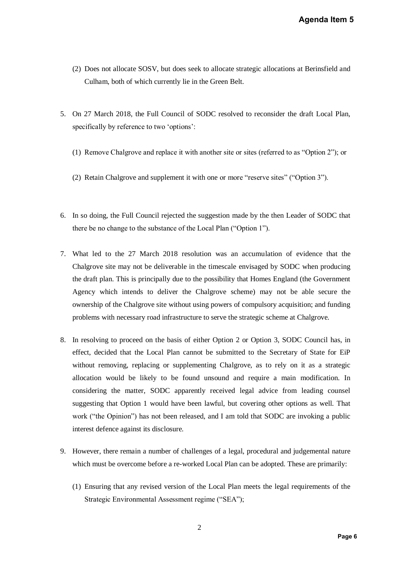- (2) Does not allocate SOSV, but does seek to allocate strategic allocations at Berinsfield and Culham, both of which currently lie in the Green Belt.
- 5. On 27 March 2018, the Full Council of SODC resolved to reconsider the draft Local Plan, specifically by reference to two 'options':
	- (1) Remove Chalgrove and replace it with another site or sites (referred to as "Option 2"); or
	- (2) Retain Chalgrove and supplement it with one or more "reserve sites" ("Option 3").
- 6. In so doing, the Full Council rejected the suggestion made by the then Leader of SODC that there be no change to the substance of the Local Plan ("Option 1").
- 7. What led to the 27 March 2018 resolution was an accumulation of evidence that the Chalgrove site may not be deliverable in the timescale envisaged by SODC when producing the draft plan. This is principally due to the possibility that Homes England (the Government Agency which intends to deliver the Chalgrove scheme) may not be able secure the ownership of the Chalgrove site without using powers of compulsory acquisition; and funding problems with necessary road infrastructure to serve the strategic scheme at Chalgrove.
- 8. In resolving to proceed on the basis of either Option 2 or Option 3, SODC Council has, in effect, decided that the Local Plan cannot be submitted to the Secretary of State for EiP without removing, replacing or supplementing Chalgrove, as to rely on it as a strategic allocation would be likely to be found unsound and require a main modification. In considering the matter, SODC apparently received legal advice from leading counsel suggesting that Option 1 would have been lawful, but covering other options as well. That work ("the Opinion") has not been released, and I am told that SODC are invoking a public interest defence against its disclosure. Agenda Item 5<br>
at Berinsfield and<br>
draft Local Plan,<br>
s "Option 2"); or<br>
option 3").<br>
der of SODC that<br>
evidence that the<br>
vidence that the<br>
vidence that the<br>
de vecure the<br>
de Sovernment<br>
able secure the<br>
de Sovernment<br>
c
- 9. However, there remain a number of challenges of a legal, procedural and judgemental nature which must be overcome before a re-worked Local Plan can be adopted. These are primarily:
	- (1) Ensuring that any revised version of the Local Plan meets the legal requirements of the Strategic Environmental Assessment regime ("SEA");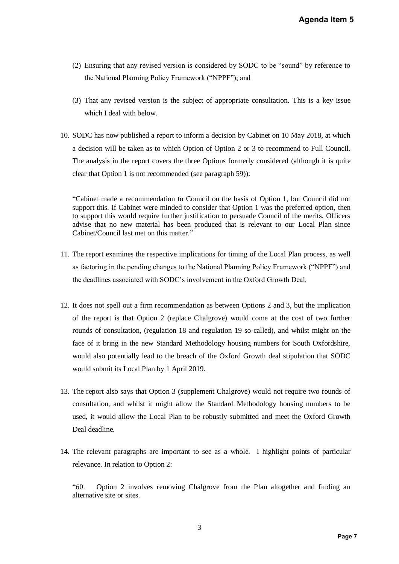- (2) Ensuring that any revised version is considered by SODC to be "sound" by reference to the National Planning Policy Framework ("NPPF"); and
- (3) That any revised version is the subject of appropriate consultation. This is a key issue which I deal with below.
- 10. SODC has now published a report to inform a decision by Cabinet on 10 May 2018, at which a decision will be taken as to which Option of Option 2 or 3 to recommend to Full Council. The analysis in the report covers the three Options formerly considered (although it is quite clear that Option 1 is not recommended (see paragraph 59)):

"Cabinet made a recommendation to Council on the basis of Option 1, but Council did not support this. If Cabinet were minded to consider that Option 1 was the preferred option, then to support this would require further justification to persuade Council of the merits. Officers advise that no new material has been produced that is relevant to our Local Plan since Cabinet/Council last met on this matter."

- 11. The report examines the respective implications for timing of the Local Plan process, as well as factoring in the pending changes to the National Planning Policy Framework ("NPPF") and the deadlines associated with SODC's involvement in the Oxford Growth Deal.
- 12. It does not spell out a firm recommendation as between Options 2 and 3, but the implication of the report is that Option 2 (replace Chalgrove) would come at the cost of two further rounds of consultation, (regulation 18 and regulation 19 so-called), and whilst might on the face of it bring in the new Standard Methodology housing numbers for South Oxfordshire, would also potentially lead to the breach of the Oxford Growth deal stipulation that SODC would submit its Local Plan by 1 April 2019. **Pagenda Item 5**<br>
Propries the Superior Space 19 and Superior Space 19 and Superior Space 19 and Superior Space 19 and Superior Space 19 and Superior Space 19 and Superior Space 19 and Superior Space 19 and Superior Space
- 13. The report also says that Option 3 (supplement Chalgrove) would not require two rounds of consultation, and whilst it might allow the Standard Methodology housing numbers to be used, it would allow the Local Plan to be robustly submitted and meet the Oxford Growth Deal deadline.
- 14. The relevant paragraphs are important to see as a whole. I highlight points of particular relevance. In relation to Option 2:

"60. Option 2 involves removing Chalgrove from the Plan altogether and finding an alternative site or sites.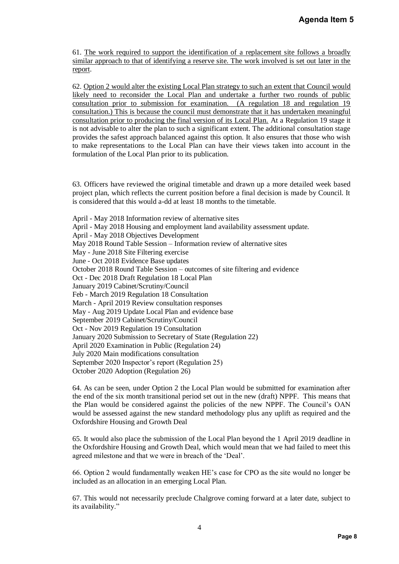61. The work required to support the identification of a replacement site follows a broadly similar approach to that of identifying a reserve site. The work involved is set out later in the report.

62. Option 2 would alter the existing Local Plan strategy to such an extent that Council would likely need to reconsider the Local Plan and undertake a further two rounds of public consultation prior to submission for examination. (A regulation 18 and regulation 19 consultation.) This is because the council must demonstrate that it has undertaken meaningful consultation prior to producing the final version of its Local Plan. At a Regulation 19 stage it is not advisable to alter the plan to such a significant extent. The additional consultation stage provides the safest approach balanced against this option. It also ensures that those who wish to make representations to the Local Plan can have their views taken into account in the formulation of the Local Plan prior to its publication. **Agenda Item 5**<br> **Collows a broadly**<br> **Collows a broadly**<br> **Collows a broadly**<br> **Collows a broadly**<br> **Collows a broadly**<br> **Collows of public of the meaningful<br>
<b>Example 8 Collows**<br> **Collows Collows**<br> **Page 8**<br> **Page 8** 

63. Officers have reviewed the original timetable and drawn up a more detailed week based project plan, which reflects the current position before a final decision is made by Council. It is considered that this would a-dd at least 18 months to the timetable.

April - May 2018 Information review of alternative sites April - May 2018 Housing and employment land availability assessment update. April - May 2018 Objectives Development May 2018 Round Table Session – Information review of alternative sites May - June 2018 Site Filtering exercise June - Oct 2018 Evidence Base updates October 2018 Round Table Session – outcomes of site filtering and evidence Oct - Dec 2018 Draft Regulation 18 Local Plan January 2019 Cabinet/Scrutiny/Council Feb - March 2019 Regulation 18 Consultation March - April 2019 Review consultation responses May - Aug 2019 Update Local Plan and evidence base September 2019 Cabinet/Scrutiny/Council Oct - Nov 2019 Regulation 19 Consultation January 2020 Submission to Secretary of State (Regulation 22) April 2020 Examination in Public (Regulation 24) July 2020 Main modifications consultation September 2020 Inspector's report (Regulation 25) October 2020 Adoption (Regulation 26)

64. As can be seen, under Option 2 the Local Plan would be submitted for examination after the end of the six month transitional period set out in the new (draft) NPPF. This means that the Plan would be considered against the policies of the new NPPF. The Council's OAN would be assessed against the new standard methodology plus any uplift as required and the Oxfordshire Housing and Growth Deal

65. It would also place the submission of the Local Plan beyond the 1 April 2019 deadline in the Oxfordshire Housing and Growth Deal, which would mean that we had failed to meet this agreed milestone and that we were in breach of the 'Deal'.

66. Option 2 would fundamentally weaken HE's case for CPO as the site would no longer be included as an allocation in an emerging Local Plan.

67. This would not necessarily preclude Chalgrove coming forward at a later date, subject to its availability."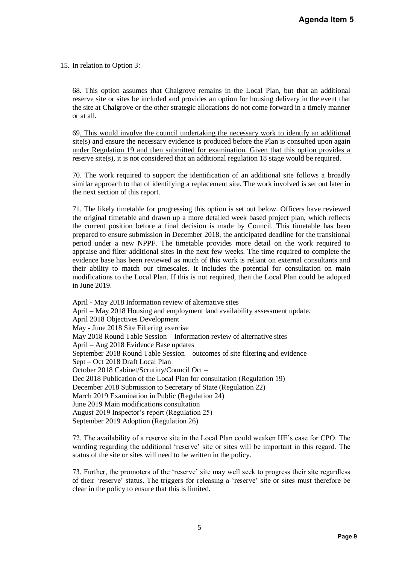15. In relation to Option 3:

68. This option assumes that Chalgrove remains in the Local Plan, but that an additional reserve site or sites be included and provides an option for housing delivery in the event that the site at Chalgrove or the other strategic allocations do not come forward in a timely manner or at all.

69. This would involve the council undertaking the necessary work to identify an additional site(s) and ensure the necessary evidence is produced before the Plan is consulted upon again under Regulation 19 and then submitted for examination. Given that this option provides a reserve site(s), it is not considered that an additional regulation 18 stage would be required.

70. The work required to support the identification of an additional site follows a broadly similar approach to that of identifying a replacement site. The work involved is set out later in the next section of this report.

71. The likely timetable for progressing this option is set out below. Officers have reviewed the original timetable and drawn up a more detailed week based project plan, which reflects the current position before a final decision is made by Council. This timetable has been prepared to ensure submission in December 2018, the anticipated deadline for the transitional period under a new NPPF. The timetable provides more detail on the work required to appraise and filter additional sites in the next few weeks. The time required to complete the evidence base has been reviewed as much of this work is reliant on external consultants and their ability to match our timescales. It includes the potential for consultation on main modifications to the Local Plan. If this is not required, then the Local Plan could be adopted in June 2019. Agenda Item 5<br>
hat an additional<br> *i* in the event that<br> **i** a timely manner<br>
tify an additional<br>
sulted upon again<br>
<u>poption provides a</u><br>
<u>ld be required</u>.<br>
Sollows a broadly<br>
is set out later in<br>
rs have reviewed<br>
m, whi

April - May 2018 Information review of alternative sites April – May 2018 Housing and employment land availability assessment update. April 2018 Objectives Development May - June 2018 Site Filtering exercise May 2018 Round Table Session – Information review of alternative sites April – Aug 2018 Evidence Base updates September 2018 Round Table Session – outcomes of site filtering and evidence Sept – Oct 2018 Draft Local Plan October 2018 Cabinet/Scrutiny/Council Oct – Dec 2018 Publication of the Local Plan for consultation (Regulation 19) December 2018 Submission to Secretary of State (Regulation 22) March 2019 Examination in Public (Regulation 24) June 2019 Main modifications consultation August 2019 Inspector's report (Regulation 25) September 2019 Adoption (Regulation 26)

72. The availability of a reserve site in the Local Plan could weaken HE's case for CPO. The wording regarding the additional 'reserve' site or sites will be important in this regard. The status of the site or sites will need to be written in the policy.

73. Further, the promoters of the 'reserve' site may well seek to progress their site regardless of their 'reserve' status. The triggers for releasing a 'reserve' site or sites must therefore be clear in the policy to ensure that this is limited.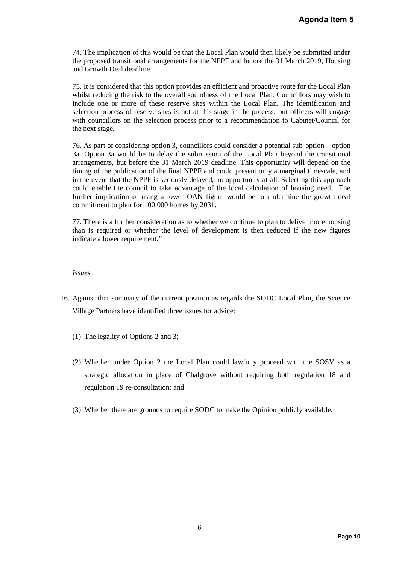74. The implication of this would be that the Local Plan would then likely be submitted under the proposed transitional arrangements for the NPPF and before the 31 March 2019, Housing and Growth Deal deadline.

75. It is considered that this option provides an efficient and proactive route for the Local Plan whilst reducing the risk to the overall soundness of the Local Plan. Councillors may wish to include one or more of these reserve sites within the Local Plan. The identification and selection process of reserve sites is not at this stage in the process, but officers will engage with councillors on the selection process prior to a recommendation to Cabinet/Council for the next stage.

76. As part of considering option 3, councillors could consider a potential sub-option – option 3a. Option 3a would be to delay the submission of the Local Plan beyond the transitional arrangements, but before the 31 March 2019 deadline. This opportunity will depend on the timing of the publication of the final NPPF and could present only a marginal timescale, and in the event that the NPPF is seriously delayed, no opportunity at all. Selecting this approach could enable the council to take advantage of the local calculation of housing need. The further implication of using a lower OAN figure would be to undermine the growth deal commitment to plan for 100,000 homes by 2031. **Agenda Item 5**<br> **Pagenda Item 5**<br> **Page 1019**, Housing<br>
for the Local Plan<br>
Ilors may wish to<br>
dentification and<br>
dicers will engage<br>
binet/Council for<br> **b**-option – option<br>
different of the transitional<br>
ill depend on th

77. There is a further consideration as to whether we continue to plan to deliver more housing than is required or whether the level of development is then reduced if the new figures indicate a lower requirement."

#### *Issues*

- 16. Against that summary of the current position as regards the SODC Local Plan, the Science Village Partners have identified three issues for advice:
	- (1) The legality of Options 2 and 3;
	- (2) Whether under Option 2 the Local Plan could lawfully proceed with the SOSV as a strategic allocation in place of Chalgrove without requiring both regulation 18 and regulation 19 re-consultation; and
	- (3) Whether there are grounds to require SODC to make the Opinion publicly available.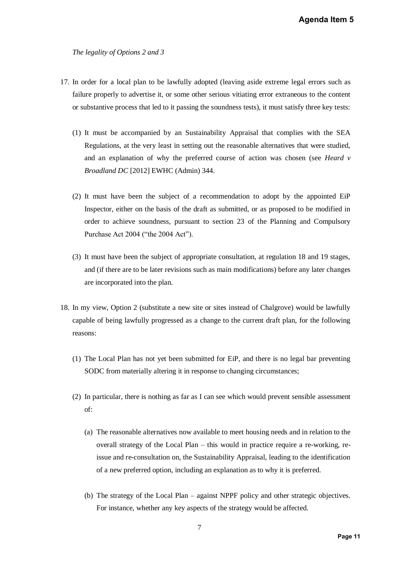*The legality of Options 2 and 3*

- 17. In order for a local plan to be lawfully adopted (leaving aside extreme legal errors such as failure properly to advertise it, or some other serious vitiating error extraneous to the content or substantive process that led to it passing the soundness tests), it must satisfy three key tests:
- (1) It must be accompanied by an Sustainability Appraisal that complies with the SEA Regulations, at the very least in setting out the reasonable alternatives that were studied, and an explanation of why the preferred course of action was chosen (see *Heard v Broadland DC* [2012] EWHC (Admin) 344. **Agenda Item 5**<br>
gal errors such as<br>
gal errors such as<br>
ty three key tests:<br>
es with the SEA<br>
hat were studied,<br>
en (see *Heard v*<br>
ne appointed EiP<br>
to be modified in<br>
and Compulsory<br>
18 and 19 stages,<br>
any later changes
	- (2) It must have been the subject of a recommendation to adopt by the appointed EiP Inspector, either on the basis of the draft as submitted, or as proposed to be modified in order to achieve soundness, pursuant to section 23 of the Planning and Compulsory Purchase Act 2004 ("the 2004 Act").
	- (3) It must have been the subject of appropriate consultation, at regulation 18 and 19 stages, and (if there are to be later revisions such as main modifications) before any later changes are incorporated into the plan.
- 18. In my view, Option 2 (substitute a new site or sites instead of Chalgrove) would be lawfully capable of being lawfully progressed as a change to the current draft plan, for the following reasons:
	- (1) The Local Plan has not yet been submitted for EiP, and there is no legal bar preventing SODC from materially altering it in response to changing circumstances;
	- (2) In particular, there is nothing as far as I can see which would prevent sensible assessment of:
		- (a) The reasonable alternatives now available to meet housing needs and in relation to the overall strategy of the Local Plan – this would in practice require a re-working, reissue and re-consultation on, the Sustainability Appraisal, leading to the identification of a new preferred option, including an explanation as to why it is preferred.
		- (b) The strategy of the Local Plan against NPPF policy and other strategic objectives. For instance, whether any key aspects of the strategy would be affected.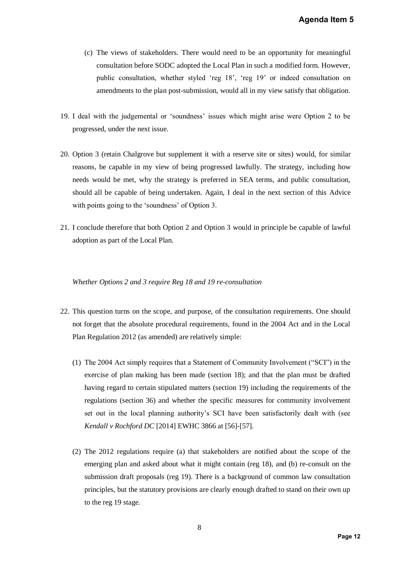- (c) The views of stakeholders. There would need to be an opportunity for meaningful consultation before SODC adopted the Local Plan in such a modified form. However, public consultation, whether styled 'reg 18', 'reg 19' or indeed consultation on amendments to the plan post-submission, would all in my view satisfy that obligation.
- 19. I deal with the judgemental or 'soundness' issues which might arise were Option 2 to be progressed, under the next issue.
- 20. Option 3 (retain Chalgrove but supplement it with a reserve site or sites) would, for similar reasons, be capable in my view of being progressed lawfully. The strategy, including how needs would be met, why the strategy is preferred in SEA terms, and public consultation, should all be capable of being undertaken. Again, I deal in the next section of this Advice with points going to the 'soundness' of Option 3.
- 21. I conclude therefore that both Option 2 and Option 3 would in principle be capable of lawful adoption as part of the Local Plan.

#### *Whether Options 2 and 3 require Reg 18 and 19 re-consultation*

- 22. This question turns on the scope, and purpose, of the consultation requirements. One should not forget that the absolute procedural requirements, found in the 2004 Act and in the Local Plan Regulation 2012 (as amended) are relatively simple:
- (1) The 2004 Act simply requires that a Statement of Community Involvement ("SCI") in the exercise of plan making has been made (section 18); and that the plan must be drafted having regard to certain stipulated matters (section 19) including the requirements of the regulations (section 36) and whether the specific measures for community involvement set out in the local planning authority's SCI have been satisfactorily dealt with (see *Kendall v Rochford DC* [2014] EWHC 3866 at [56]-[57]. **Agenda Item 5**<br>y for meaningful<br>d form. However,<br>l consultation on<br>fy that obligation.<br>e Option 2 to be<br>would, for similar<br>y, including how<br>blic consultation,<br>on of this Advice<br>capable of lawful<br>and in the Local<br>and in th
	- (2) The 2012 regulations require (a) that stakeholders are notified about the scope of the emerging plan and asked about what it might contain (reg 18), and (b) re-consult on the submission draft proposals (reg 19). There is a background of common law consultation principles, but the statutory provisions are clearly enough drafted to stand on their own up to the reg 19 stage.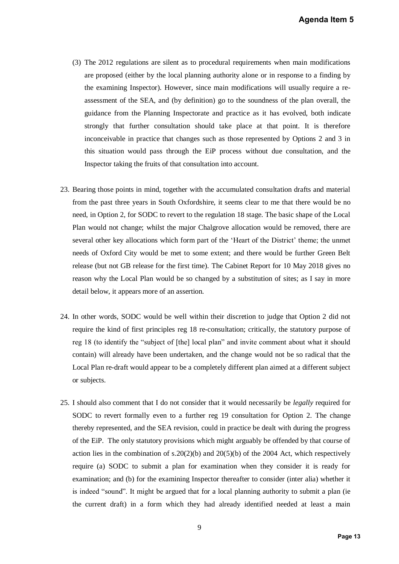- (3) The 2012 regulations are silent as to procedural requirements when main modifications are proposed (either by the local planning authority alone or in response to a finding by the examining Inspector). However, since main modifications will usually require a reassessment of the SEA, and (by definition) go to the soundness of the plan overall, the guidance from the Planning Inspectorate and practice as it has evolved, both indicate strongly that further consultation should take place at that point. It is therefore inconceivable in practice that changes such as those represented by Options 2 and 3 in this situation would pass through the EiP process without due consultation, and the Inspector taking the fruits of that consultation into account.
- 23. Bearing those points in mind, together with the accumulated consultation drafts and material from the past three years in South Oxfordshire, it seems clear to me that there would be no need, in Option 2, for SODC to revert to the regulation 18 stage. The basic shape of the Local Plan would not change; whilst the major Chalgrove allocation would be removed, there are several other key allocations which form part of the 'Heart of the District' theme; the unmet needs of Oxford City would be met to some extent; and there would be further Green Belt release (but not GB release for the first time). The Cabinet Report for 10 May 2018 gives no reason why the Local Plan would be so changed by a substitution of sites; as I say in more detail below, it appears more of an assertion.
- 24. In other words, SODC would be well within their discretion to judge that Option 2 did not require the kind of first principles reg 18 re-consultation; critically, the statutory purpose of reg 18 (to identify the "subject of [the] local plan" and invite comment about what it should contain) will already have been undertaken, and the change would not be so radical that the Local Plan re-draft would appear to be a completely different plan aimed at a different subject or subjects.
- 25. I should also comment that I do not consider that it would necessarily be *legally* required for SODC to revert formally even to a further reg 19 consultation for Option 2. The change thereby represented, and the SEA revision, could in practice be dealt with during the progress of the EiP. The only statutory provisions which might arguably be offended by that course of action lies in the combination of s.20(2)(b) and 20(5)(b) of the 2004 Act, which respectively require (a) SODC to submit a plan for examination when they consider it is ready for examination; and (b) for the examining Inspector thereafter to consider (inter alia) whether it is indeed "sound". It might be argued that for a local planning authority to submit a plan (ie the current draft) in a form which they had already identified needed at least a main **Agenda Item 5**<br>
ain modifications<br>
se to a finding by<br>
ally require a re-<br>
plan overall, the<br>
ed, both indicate<br>
It is therefore<br>
ptions 2 and 3 in<br>
ultation, and the<br>
rafts and material<br>
here would be no<br>
hape of the Loc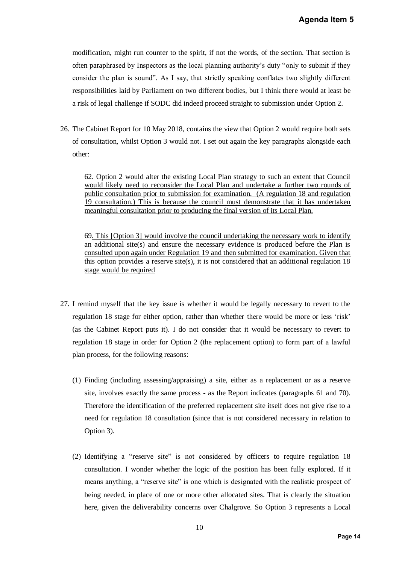modification, might run counter to the spirit, if not the words, of the section. That section is often paraphrased by Inspectors as the local planning authority's duty "only to submit if they consider the plan is sound". As I say, that strictly speaking conflates two slightly different responsibilities laid by Parliament on two different bodies, but I think there would at least be a risk of legal challenge if SODC did indeed proceed straight to submission under Option 2.

26. The Cabinet Report for 10 May 2018, contains the view that Option 2 would require both sets of consultation, whilst Option 3 would not. I set out again the key paragraphs alongside each other:

62. Option 2 would alter the existing Local Plan strategy to such an extent that Council would likely need to reconsider the Local Plan and undertake a further two rounds of public consultation prior to submission for examination. (A regulation 18 and regulation 19 consultation.) This is because the council must demonstrate that it has undertaken meaningful consultation prior to producing the final version of its Local Plan.

69. This [Option 3] would involve the council undertaking the necessary work to identify an additional site(s) and ensure the necessary evidence is produced before the Plan is consulted upon again under Regulation 19 and then submitted for examination. Given that this option provides a reserve site(s), it is not considered that an additional regulation 18 stage would be required

- 27. I remind myself that the key issue is whether it would be legally necessary to revert to the regulation 18 stage for either option, rather than whether there would be more or less 'risk' (as the Cabinet Report puts it). I do not consider that it would be necessary to revert to regulation 18 stage in order for Option 2 (the replacement option) to form part of a lawful plan process, for the following reasons:
	- (1) Finding (including assessing/appraising) a site, either as a replacement or as a reserve site, involves exactly the same process - as the Report indicates (paragraphs 61 and 70). Therefore the identification of the preferred replacement site itself does not give rise to a need for regulation 18 consultation (since that is not considered necessary in relation to Option 3).
- (2) Identifying a "reserve site" is not considered by officers to require regulation 18 consultation. I wonder whether the logic of the position has been fully explored. If it means anything, a "reserve site" is one which is designated with the realistic prospect of being needed, in place of one or more other allocated sites. That is clearly the situation here, given the deliverability concerns over Chalgrove. So Option 3 represents a Local **Agenda Item 5**<br> **n.** That section is<br>
to submit if they<br>
slightly different<br>
would at least be<br>
under Option 2.<br>
I require both sets<br>
ls alongside each<br>
tent that Council<br>
<u>er two rounds of</u><br>
<u>18</u> and regulation<br>
<u>18 and </u>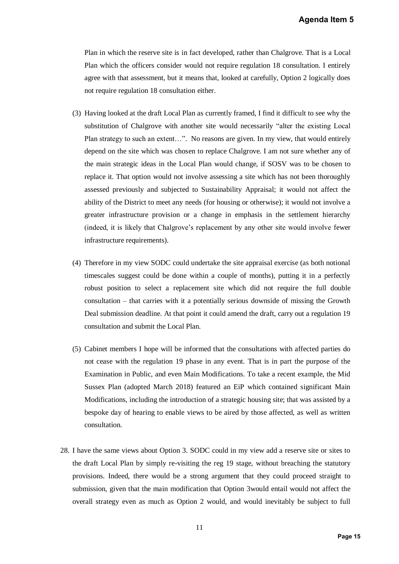Plan in which the reserve site is in fact developed, rather than Chalgrove. That is a Local Plan which the officers consider would not require regulation 18 consultation. I entirely agree with that assessment, but it means that, looked at carefully, Option 2 logically does not require regulation 18 consultation either.

- (3) Having looked at the draft Local Plan as currently framed, I find it difficult to see why the substitution of Chalgrove with another site would necessarily "alter the existing Local Plan strategy to such an extent…". No reasons are given. In my view, that would entirely depend on the site which was chosen to replace Chalgrove. I am not sure whether any of the main strategic ideas in the Local Plan would change, if SOSV was to be chosen to replace it. That option would not involve assessing a site which has not been thoroughly assessed previously and subjected to Sustainability Appraisal; it would not affect the ability of the District to meet any needs (for housing or otherwise); it would not involve a greater infrastructure provision or a change in emphasis in the settlement hierarchy (indeed, it is likely that Chalgrove's replacement by any other site would involve fewer infrastructure requirements). **Agenda Item 5**<br> **e.** That is a Local<br>
lltation. I entirely<br>
n 2 logically does<br>
ult to see why the<br>
he existing Local<br>
nat would entirely<br>
re whether any of<br>
s to be chosen to<br>
been thoroughly<br>
lld not affect the<br>
uld not
- (4) Therefore in my view SODC could undertake the site appraisal exercise (as both notional timescales suggest could be done within a couple of months), putting it in a perfectly robust position to select a replacement site which did not require the full double consultation – that carries with it a potentially serious downside of missing the Growth Deal submission deadline. At that point it could amend the draft, carry out a regulation 19 consultation and submit the Local Plan.
- (5) Cabinet members I hope will be informed that the consultations with affected parties do not cease with the regulation 19 phase in any event. That is in part the purpose of the Examination in Public, and even Main Modifications. To take a recent example, the Mid Sussex Plan (adopted March 2018) featured an EiP which contained significant Main Modifications, including the introduction of a strategic housing site; that was assisted by a bespoke day of hearing to enable views to be aired by those affected, as well as written consultation.
- 28. I have the same views about Option 3. SODC could in my view add a reserve site or sites to the draft Local Plan by simply re-visiting the reg 19 stage, without breaching the statutory provisions. Indeed, there would be a strong argument that they could proceed straight to submission, given that the main modification that Option 3would entail would not affect the overall strategy even as much as Option 2 would, and would inevitably be subject to full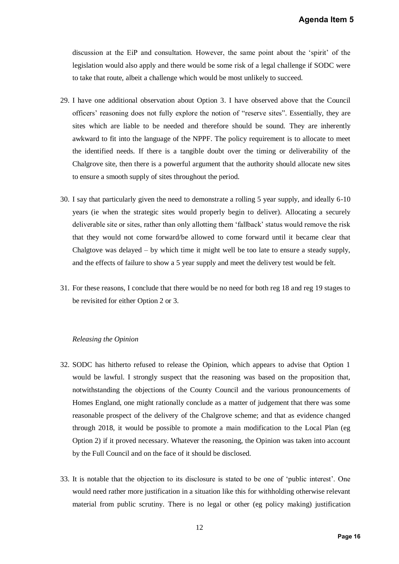discussion at the EiP and consultation. However, the same point about the 'spirit' of the legislation would also apply and there would be some risk of a legal challenge if SODC were to take that route, albeit a challenge which would be most unlikely to succeed.

- 29. I have one additional observation about Option 3. I have observed above that the Council officers' reasoning does not fully explore the notion of "reserve sites". Essentially, they are sites which are liable to be needed and therefore should be sound. They are inherently awkward to fit into the language of the NPPF. The policy requirement is to allocate to meet the identified needs. If there is a tangible doubt over the timing or deliverability of the Chalgrove site, then there is a powerful argument that the authority should allocate new sites to ensure a smooth supply of sites throughout the period.
- 30. I say that particularly given the need to demonstrate a rolling 5 year supply, and ideally 6-10 years (ie when the strategic sites would properly begin to deliver). Allocating a securely deliverable site or sites, rather than only allotting them 'fallback' status would remove the risk that they would not come forward/be allowed to come forward until it became clear that Chalgtove was delayed – by which time it might well be too late to ensure a steady supply, and the effects of failure to show a 5 year supply and meet the delivery test would be felt.
- 31. For these reasons, I conclude that there would be no need for both reg 18 and reg 19 stages to be revisited for either Option 2 or 3.

#### *Releasing the Opinion*

- 32. SODC has hitherto refused to release the Opinion, which appears to advise that Option 1 would be lawful. I strongly suspect that the reasoning was based on the proposition that, notwithstanding the objections of the County Council and the various pronouncements of Homes England, one might rationally conclude as a matter of judgement that there was some reasonable prospect of the delivery of the Chalgrove scheme; and that as evidence changed through 2018, it would be possible to promote a main modification to the Local Plan (eg Option 2) if it proved necessary. Whatever the reasoning, the Opinion was taken into account by the Full Council and on the face of it should be disclosed. **Agenda Item 5**<br>
he 'spirit' of the<br>
ge if SODC were<br>
d.<br>
that the Council<br>
sentially, they are<br>
ey are inherently<br>
ballocate to meet<br>
iverability of the<br>
allocate new sites<br>
and ideally 6-10<br>
cating a securely<br>
d remove t
- 33. It is notable that the objection to its disclosure is stated to be one of 'public interest'. One would need rather more justification in a situation like this for withholding otherwise relevant material from public scrutiny. There is no legal or other (eg policy making) justification